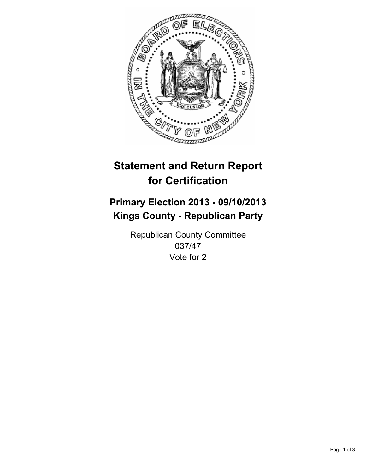

# **Statement and Return Report for Certification**

# **Primary Election 2013 - 09/10/2013 Kings County - Republican Party**

Republican County Committee 037/47 Vote for 2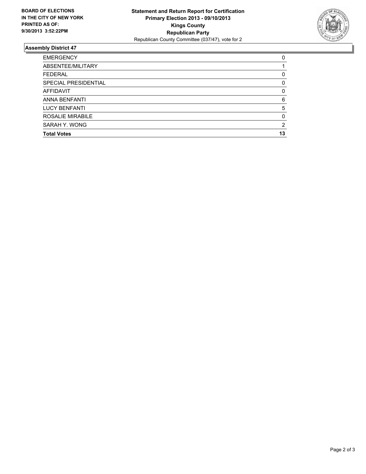

## **Assembly District 47**

| ABSENTEE/MILITARY    | 0        |
|----------------------|----------|
|                      |          |
| <b>FEDERAL</b>       |          |
| SPECIAL PRESIDENTIAL | 0        |
| <b>AFFIDAVIT</b>     | $\Omega$ |
| <b>ANNA BENFANTI</b> | 6        |
| <b>LUCY BENFANTI</b> | 5        |
| ROSALIE MIRABILE     | $\Omega$ |
| SARAH Y. WONG        | 2        |
| <b>Total Votes</b>   | 13       |